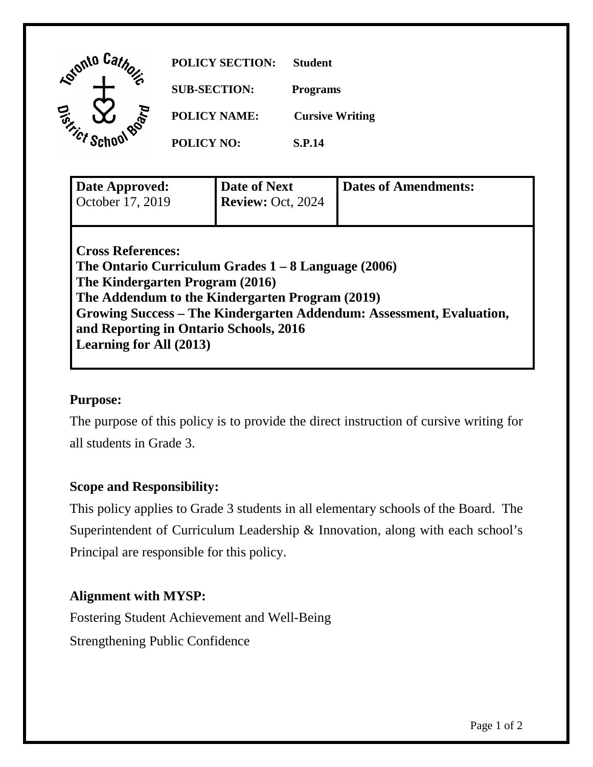| Lotonto Car<br>$\tilde{\phi}^{(0)}$ | <b>POLICY SECTION:</b> | <b>Student</b>         |
|-------------------------------------|------------------------|------------------------|
|                                     | <b>SUB-SECTION:</b>    | <b>Programs</b>        |
| <b>Board</b><br><b>Tonicles</b>     | <b>POLICY NAME:</b>    | <b>Cursive Writing</b> |
|                                     | <b>POLICY NO:</b>      | <b>S.P.14</b>          |
|                                     |                        |                        |

| Date Approved:<br>October 17, 2019                                                                                                                                                                                                                                                                                          | Date of Next<br><b>Review: Oct. 2024</b> | <b>Dates of Amendments:</b> |  |  |
|-----------------------------------------------------------------------------------------------------------------------------------------------------------------------------------------------------------------------------------------------------------------------------------------------------------------------------|------------------------------------------|-----------------------------|--|--|
| <b>Cross References:</b><br>The Ontario Curriculum Grades $1 - 8$ Language (2006)<br>The Kindergarten Program (2016)<br>The Addendum to the Kindergarten Program (2019)<br>Growing Success – The Kindergarten Addendum: Assessment, Evaluation,<br>and Reporting in Ontario Schools, 2016<br><b>Learning for All (2013)</b> |                                          |                             |  |  |

### **Purpose:**

The purpose of this policy is to provide the direct instruction of cursive writing for all students in Grade 3.

### **Scope and Responsibility:**

This policy applies to Grade 3 students in all elementary schools of the Board. The Superintendent of Curriculum Leadership & Innovation, along with each school's Principal are responsible for this policy.

# **Alignment with MYSP:**

Fostering Student Achievement and Well-Being Strengthening Public Confidence